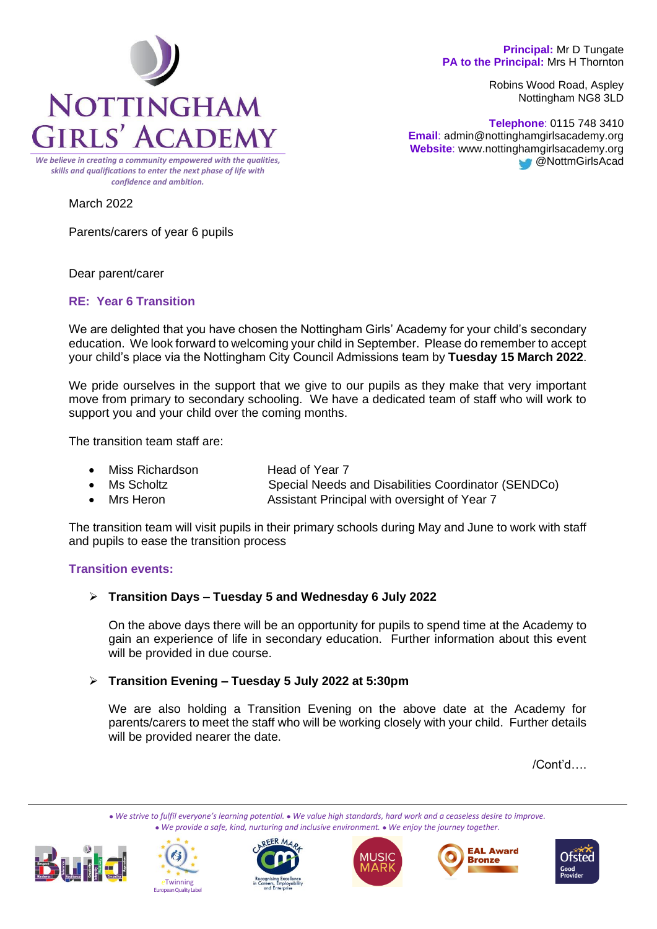### **Principal:** Mr D Tungate **PA to the Principal:** Mrs H Thornton

Robins Wood Road, Aspley Nottingham NG8 3LD

**Telephone**: 0115 748 3410  **Email**: admin@nottinghamgirlsacademy.org **Website**: www.nottinghamgirlsacademy.org **@NottmGirlsAcad** 



*We believe in creating a community empowered with the qualities, skills and qualifications to enter the next phase of life with confidence and ambition.*

March 2022

Parents/carers of year 6 pupils

Dear parent/carer

# **RE: Year 6 Transition**

We are delighted that you have chosen the Nottingham Girls' Academy for your child's secondary education. We look forward to welcoming your child in September. Please do remember to accept your child's place via the Nottingham City Council Admissions team by **Tuesday 15 March 2022**.

We pride ourselves in the support that we give to our pupils as they make that very important move from primary to secondary schooling. We have a dedicated team of staff who will work to support you and your child over the coming months.

The transition team staff are:

- Miss Richardson **Head of Year 7**
- Ms Scholtz **Special Needs and Disabilities Coordinator (SENDCo)**
- Mrs Heron **Assistant Principal with oversight of Year 7**

The transition team will visit pupils in their primary schools during May and June to work with staff and pupils to ease the transition process

## **Transition events:**

➢ **Transition Days – Tuesday 5 and Wednesday 6 July 2022**

On the above days there will be an opportunity for pupils to spend time at the Academy to gain an experience of life in secondary education. Further information about this event will be provided in due course.

# ➢ **Transition Evening – Tuesday 5 July 2022 at 5:30pm**

We are also holding a Transition Evening on the above date at the Academy for parents/carers to meet the staff who will be working closely with your child. Further details will be provided nearer the date.

/Cont'd….

⚫ *We strive to fulfil everyone's learning potential.* ⚫ *We value high standards, hard work and a ceaseless desire to improve.* ⚫ *We provide a safe, kind, nurturing and inclusive environment.* ⚫ *We enjoy the journey together.*